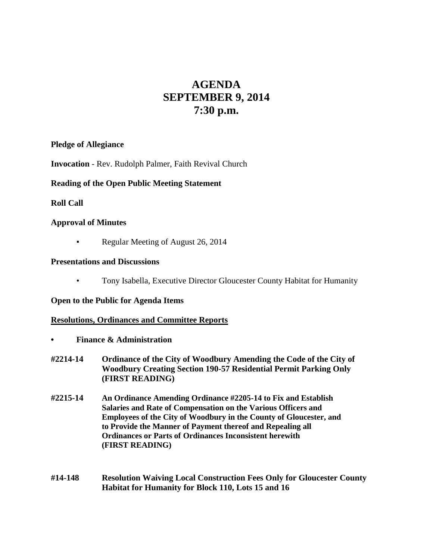# **AGENDA SEPTEMBER 9, 2014 7:30 p.m.**

#### **Pledge of Allegiance**

**Invocation** - Rev. Rudolph Palmer, Faith Revival Church

## **Reading of the Open Public Meeting Statement**

## **Roll Call**

## **Approval of Minutes**

Regular Meeting of August 26, 2014

## **Presentations and Discussions**

• Tony Isabella, Executive Director Gloucester County Habitat for Humanity

## **Open to the Public for Agenda Items**

## **Resolutions, Ordinances and Committee Reports**

- **• Finance & Administration**
- **#2214-14 Ordinance of the City of Woodbury Amending the Code of the City of Woodbury Creating Section 190-57 Residential Permit Parking Only (FIRST READING)**
- **#2215-14 An Ordinance Amending Ordinance #2205-14 to Fix and Establish Salaries and Rate of Compensation on the Various Officers and Employees of the City of Woodbury in the County of Gloucester, and to Provide the Manner of Payment thereof and Repealing all Ordinances or Parts of Ordinances Inconsistent herewith (FIRST READING)**
- **#14-148 Resolution Waiving Local Construction Fees Only for Gloucester County Habitat for Humanity for Block 110, Lots 15 and 16**